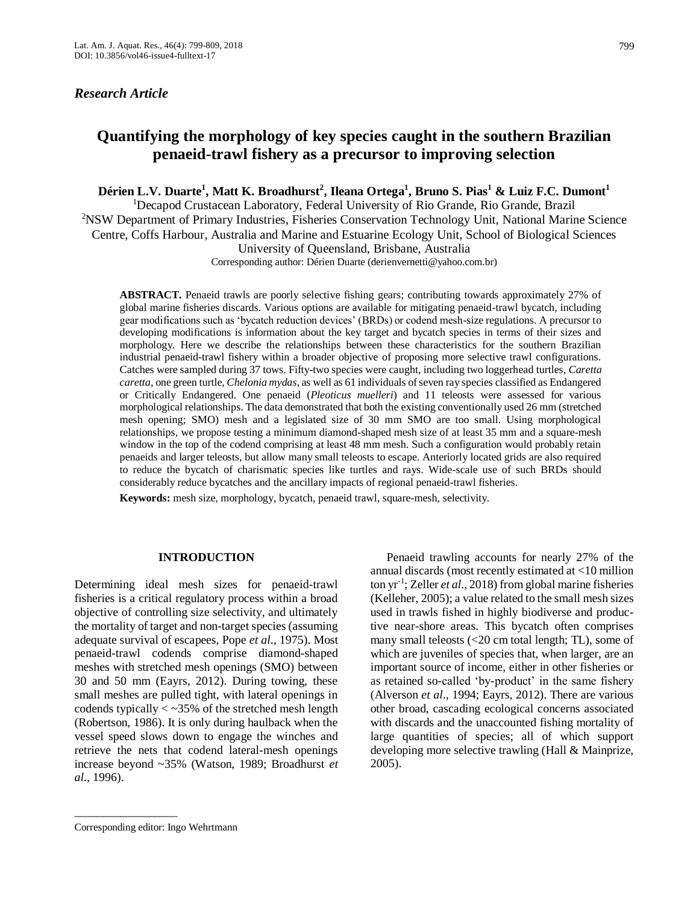# *Research Article*

# **Quantifying the morphology of key species caught in the southern Brazilian penaeid-trawl fishery as a precursor to improving selection**

**Dérien L.V. Duarte<sup>1</sup> , Matt K. Broadhurst<sup>2</sup> , Ileana Ortega<sup>1</sup> , Bruno S. Pias<sup>1</sup> & Luiz F.C. Dumont<sup>1</sup>**

<sup>1</sup>Decapod Crustacean Laboratory, Federal University of Rio Grande, Rio Grande, Brazil

<sup>2</sup>NSW Department of Primary Industries, Fisheries Conservation Technology Unit, National Marine Science Centre, Coffs Harbour, Australia and Marine and Estuarine Ecology Unit, School of Biological Sciences University of Queensland, Brisbane, Australia

Corresponding author: Dérien Duarte (derienvernetti@yahoo.com.br)

**ABSTRACT.** Penaeid trawls are poorly selective fishing gears; contributing towards approximately 27% of global marine fisheries discards. Various options are available for mitigating penaeid-trawl bycatch, including gear modifications such as 'bycatch reduction devices' (BRDs) or codend mesh-size regulations. A precursor to developing modifications is information about the key target and bycatch species in terms of their sizes and morphology. Here we describe the relationships between these characteristics for the southern Brazilian industrial penaeid-trawl fishery within a broader objective of proposing more selective trawl configurations. Catches were sampled during 37 tows. Fifty-two species were caught, including two loggerhead turtles, *Caretta caretta*, one green turtle, *Chelonia mydas*, as well as 61 individuals of seven ray species classified as Endangered or Critically Endangered. One penaeid (*Pleoticus muelleri*) and 11 teleosts were assessed for various morphological relationships. The data demonstrated that both the existing conventionally used 26 mm (stretched mesh opening; SMO) mesh and a legislated size of 30 mm SMO are too small. Using morphological relationships, we propose testing a minimum diamond-shaped mesh size of at least 35 mm and a square-mesh window in the top of the codend comprising at least 48 mm mesh. Such a configuration would probably retain penaeids and larger teleosts, but allow many small teleosts to escape. Anteriorly located grids are also required to reduce the bycatch of charismatic species like turtles and rays. Wide-scale use of such BRDs should considerably reduce bycatches and the ancillary impacts of regional penaeid-trawl fisheries.

**Keywords:** mesh size, morphology, bycatch, penaeid trawl, square-mesh, selectivity.

# **INTRODUCTION**

Determining ideal mesh sizes for penaeid-trawl fisheries is a critical regulatory process within a broad objective of controlling size selectivity, and ultimately the mortality of target and non-target species (assuming adequate survival of escapees, Pope *et al*., 1975). Most penaeid-trawl codends comprise diamond-shaped meshes with stretched mesh openings (SMO) between 30 and 50 mm (Eayrs, 2012). During towing, these small meshes are pulled tight, with lateral openings in codends typically < ~35% of the stretched mesh length (Robertson, 1986). It is only during haulback when the vessel speed slows down to engage the winches and retrieve the nets that codend lateral-mesh openings increase beyond ~35% (Watson, 1989; Broadhurst *et al*., 1996).

Penaeid trawling accounts for nearly 27% of the annual discards (most recently estimated at <10 million ton yr-1 ; Zeller *et al*., 2018) from global marine fisheries (Kelleher, 2005); a value related to the small mesh sizes used in trawls fished in highly biodiverse and productive near-shore areas. This bycatch often comprises many small teleosts (<20 cm total length; TL), some of which are juveniles of species that, when larger, are an important source of income, either in other fisheries or as retained so-called 'by-product' in the same fishery (Alverson *et al*., 1994; Eayrs, 2012). There are various other broad, cascading ecological concerns associated with discards and the unaccounted fishing mortality of large quantities of species; all of which support developing more selective trawling (Hall & Mainprize, 2005).

\_\_\_\_\_\_\_\_\_\_\_\_\_\_\_\_\_\_

Corresponding editor: Ingo Wehrtmann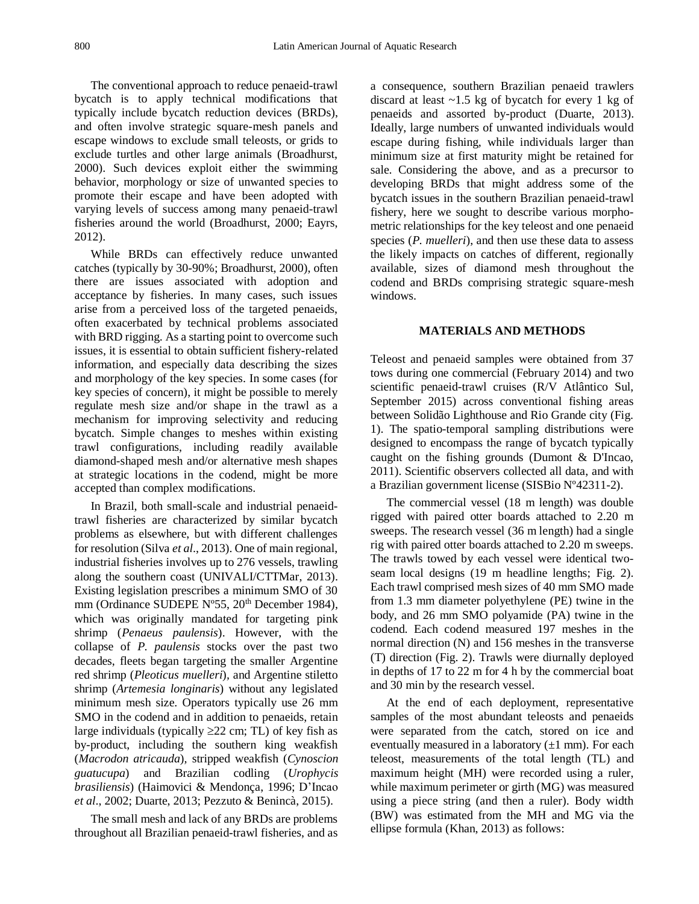The conventional approach to reduce penaeid-trawl bycatch is to apply technical modifications that typically include bycatch reduction devices (BRDs), and often involve strategic square-mesh panels and escape windows to exclude small teleosts, or grids to exclude turtles and other large animals (Broadhurst, 2000). Such devices exploit either the swimming behavior, morphology or size of unwanted species to promote their escape and have been adopted with varying levels of success among many penaeid-trawl fisheries around the world (Broadhurst, 2000; Eayrs, 2012).

While BRDs can effectively reduce unwanted catches (typically by 30-90%; Broadhurst, 2000), often there are issues associated with adoption and acceptance by fisheries. In many cases, such issues arise from a perceived loss of the targeted penaeids, often exacerbated by technical problems associated with BRD rigging. As a starting point to overcome such issues, it is essential to obtain sufficient fishery-related information, and especially data describing the sizes and morphology of the key species. In some cases (for key species of concern), it might be possible to merely regulate mesh size and/or shape in the trawl as a mechanism for improving selectivity and reducing bycatch. Simple changes to meshes within existing trawl configurations, including readily available diamond-shaped mesh and/or alternative mesh shapes at strategic locations in the codend, might be more accepted than complex modifications.

In Brazil, both small-scale and industrial penaeidtrawl fisheries are characterized by similar bycatch problems as elsewhere, but with different challenges for resolution (Silva *et al*., 2013). One of main regional, industrial fisheries involves up to 276 vessels, trawling along the southern coast (UNIVALI/CTTMar, 2013). Existing legislation prescribes a minimum SMO of 30 mm (Ordinance SUDEPE N°55, 20<sup>th</sup> December 1984), which was originally mandated for targeting pink shrimp (*Penaeus paulensis*). However, with the collapse of *P. paulensis* stocks over the past two decades, fleets began targeting the smaller Argentine red shrimp (*Pleoticus muelleri*)*,* and Argentine stiletto shrimp (*Artemesia longinaris*) without any legislated minimum mesh size. Operators typically use 26 mm SMO in the codend and in addition to penaeids, retain large individuals (typically  $\geq$ 22 cm; TL) of key fish as by-product, including the southern king weakfish (*Macrodon atricauda*)*,* stripped weakfish (*Cynoscion guatucupa*) and Brazilian codling (*Urophycis brasiliensis*) (Haimovici & Mendonça, 1996; D'Incao *et al*., 2002; Duarte, 2013; Pezzuto & Benincà, 2015).

The small mesh and lack of any BRDs are problems throughout all Brazilian penaeid-trawl fisheries, and as a consequence, southern Brazilian penaeid trawlers discard at least  $\sim$ 1.5 kg of bycatch for every 1 kg of penaeids and assorted by-product (Duarte, 2013). Ideally, large numbers of unwanted individuals would escape during fishing, while individuals larger than minimum size at first maturity might be retained for sale. Considering the above, and as a precursor to developing BRDs that might address some of the bycatch issues in the southern Brazilian penaeid-trawl fishery, here we sought to describe various morphometric relationships for the key teleost and one penaeid species (*P. muelleri*), and then use these data to assess the likely impacts on catches of different, regionally available, sizes of diamond mesh throughout the codend and BRDs comprising strategic square-mesh windows.

#### **MATERIALS AND METHODS**

Teleost and penaeid samples were obtained from 37 tows during one commercial (February 2014) and two scientific penaeid-trawl cruises (R/V Atlântico Sul, September 2015) across conventional fishing areas between Solidão Lighthouse and Rio Grande city (Fig. 1). The spatio-temporal sampling distributions were designed to encompass the range of bycatch typically caught on the fishing grounds (Dumont & D'Incao, 2011). Scientific observers collected all data, and with a Brazilian government license (SISBio Nº42311-2).

The commercial vessel (18 m length) was double rigged with paired otter boards attached to 2.20 m sweeps. The research vessel (36 m length) had a single rig with paired otter boards attached to 2.20 m sweeps. The trawls towed by each vessel were identical twoseam local designs (19 m headline lengths; Fig. 2). Each trawl comprised mesh sizes of 40 mm SMO made from 1.3 mm diameter polyethylene (PE) twine in the body, and 26 mm SMO polyamide (PA) twine in the codend. Each codend measured 197 meshes in the normal direction (N) and 156 meshes in the transverse (T) direction (Fig. 2). Trawls were diurnally deployed in depths of 17 to 22 m for 4 h by the commercial boat and 30 min by the research vessel.

At the end of each deployment, representative samples of the most abundant teleosts and penaeids were separated from the catch, stored on ice and eventually measured in a laboratory  $(\pm 1 \text{ mm})$ . For each teleost, measurements of the total length (TL) and maximum height (MH) were recorded using a ruler, while maximum perimeter or girth (MG) was measured using a piece string (and then a ruler). Body width (BW) was estimated from the MH and MG via the ellipse formula (Khan, 2013) as follows: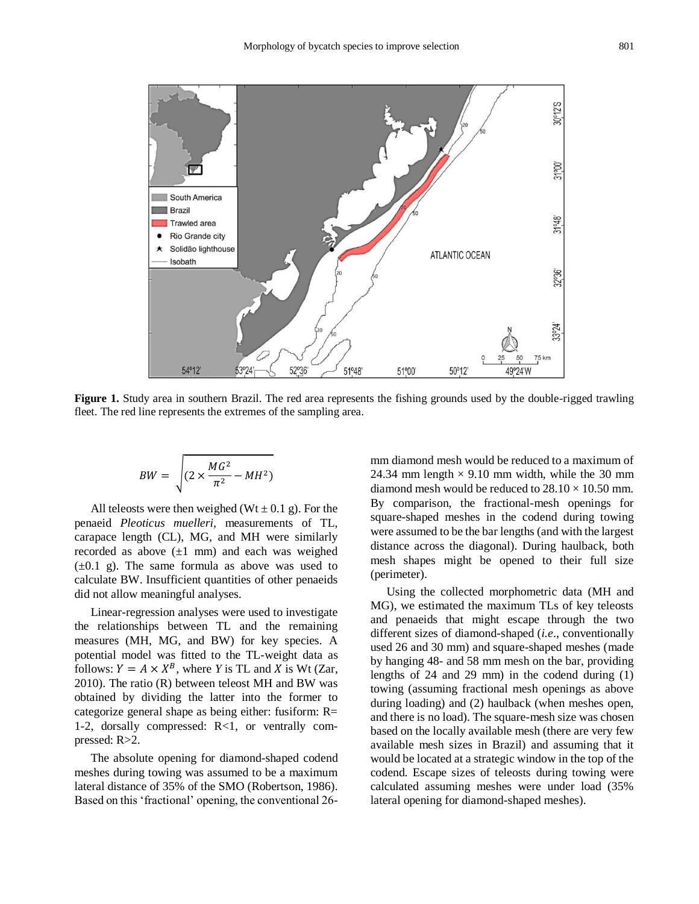

**Figure 1.** Study area in southern Brazil. The red area represents the fishing grounds used by the double-rigged trawling fleet. The red line represents the extremes of the sampling area.

$$
BW = \sqrt{(2 \times \frac{MG^2}{\pi^2} - MH^2)}
$$

All teleosts were then weighed ( $Wt \pm 0.1$  g). For the penaeid *Pleoticus muelleri,* measurements of TL, carapace length (CL), MG, and MH were similarly recorded as above  $(\pm 1 \text{ mm})$  and each was weighed  $(\pm 0.1 \text{ g})$ . The same formula as above was used to calculate BW. Insufficient quantities of other penaeids did not allow meaningful analyses.

Linear-regression analyses were used to investigate the relationships between TL and the remaining measures (MH, MG, and BW) for key species. A potential model was fitted to the TL-weight data as follows:  $Y = A \times X^B$ , where *Y* is TL and *X* is Wt (Zar, 2010). The ratio (R) between teleost MH and BW was obtained by dividing the latter into the former to categorize general shape as being either: fusiform: R= 1-2, dorsally compressed: R<1, or ventrally compressed: R>2.

The absolute opening for diamond-shaped codend meshes during towing was assumed to be a maximum lateral distance of 35% of the SMO (Robertson, 1986). Based on this 'fractional' opening, the conventional 26mm diamond mesh would be reduced to a maximum of 24.34 mm length  $\times$  9.10 mm width, while the 30 mm diamond mesh would be reduced to  $28.10 \times 10.50$  mm. By comparison, the fractional-mesh openings for square-shaped meshes in the codend during towing were assumed to be the bar lengths (and with the largest distance across the diagonal). During haulback, both mesh shapes might be opened to their full size (perimeter).

Using the collected morphometric data (MH and MG), we estimated the maximum TLs of key teleosts and penaeids that might escape through the two different sizes of diamond-shaped (*i.e*., conventionally used 26 and 30 mm) and square-shaped meshes (made by hanging 48- and 58 mm mesh on the bar, providing lengths of 24 and 29 mm) in the codend during (1) towing (assuming fractional mesh openings as above during loading) and (2) haulback (when meshes open, and there is no load). The square-mesh size was chosen based on the locally available mesh (there are very few available mesh sizes in Brazil) and assuming that it would be located at a strategic window in the top of the codend. Escape sizes of teleosts during towing were calculated assuming meshes were under load (35% lateral opening for diamond-shaped meshes).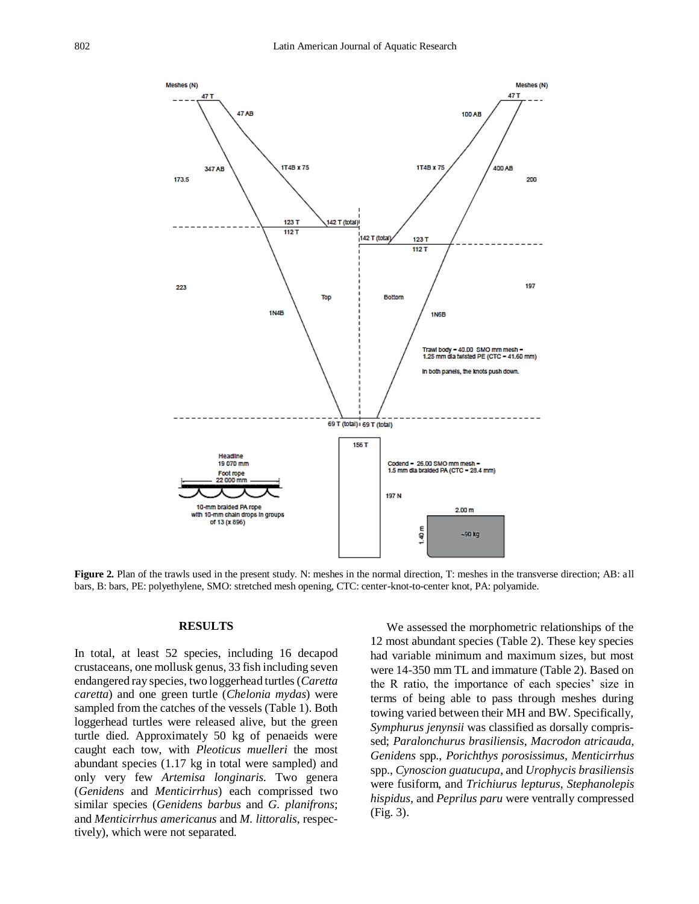

**Figure 2.** Plan of the trawls used in the present study. N: meshes in the normal direction, T: meshes in the transverse direction; AB: all bars, B: bars, PE: polyethylene, SMO: stretched mesh opening, CTC: center-knot-to-center knot, PA: polyamide.

#### **RESULTS**

In total, at least 52 species, including 16 decapod crustaceans, one mollusk genus, 33 fish including seven endangered ray species, two loggerhead turtles (*Caretta caretta*) and one green turtle (*Chelonia mydas*) were sampled from the catches of the vessels (Table 1). Both loggerhead turtles were released alive, but the green turtle died. Approximately 50 kg of penaeids were caught each tow, with *Pleoticus muelleri* the most abundant species (1.17 kg in total were sampled) and only very few *Artemisa longinaris.* Two genera (*Genidens* and *Menticirrhus*) each comprissed two similar species (*Genidens barbus* and *G. planifrons*; and *Menticirrhus americanus* and *M. littoralis*, respectively), which were not separated.

We assessed the morphometric relationships of the 12 most abundant species (Table 2). These key species had variable minimum and maximum sizes, but most were 14-350 mm TL and immature (Table 2). Based on the R ratio, the importance of each species' size in terms of being able to pass through meshes during towing varied between their MH and BW. Specifically, *Symphurus jenynsii* was classified as dorsally comprissed; *Paralonchurus brasiliensis*, *Macrodon atricauda*, *Genidens* spp., *Porichthys porosissimus*, *Menticirrhus*  spp., *Cynoscion guatucupa*, and *Urophycis brasiliensis* were fusiform, and *Trichiurus lepturus*, *Stephanolepis hispidus,* and *Peprilus paru* were ventrally compressed (Fig. 3).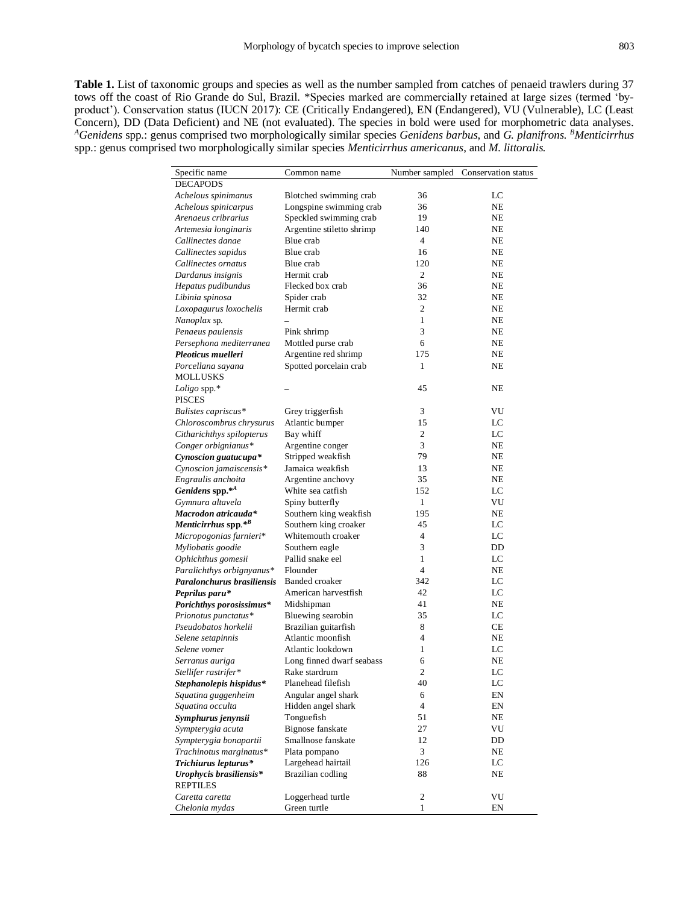**Table 1.** List of taxonomic groups and species as well as the number sampled from catches of penaeid trawlers during 37 tows off the coast of Rio Grande do Sul, Brazil. \*Species marked are commercially retained at large sizes (termed 'byproduct'). Conservation status (IUCN 2017): CE (Critically Endangered), EN (Endangered), VU (Vulnerable), LC (Least Concern), DD (Data Deficient) and NE (not evaluated). The species in bold were used for morphometric data analyses. *<sup>A</sup>Genidens* spp.: genus comprised two morphologically similar species *Genidens barbus*, and *G. planifrons. <sup>B</sup>Menticirrhus*  spp.: genus comprised two morphologically similar species *Menticirrhus americanus*, and *M. littoralis.*

| Specific name               | Common name               | Number sampled | Conservation status |
|-----------------------------|---------------------------|----------------|---------------------|
| <b>DECAPODS</b>             |                           |                |                     |
| Achelous spinimanus         | Blotched swimming crab    | 36             | LC                  |
| Achelous spinicarpus        | Longspine swimming crab   | 36             | NΕ                  |
| Arenaeus cribrarius         | Speckled swimming crab    | 19             | NE                  |
| Artemesia longinaris        | Argentine stiletto shrimp | 140            | NE                  |
| Callinectes danae           | Blue crab                 | $\overline{4}$ | NE                  |
| Callinectes sapidus         | Blue crab                 | 16             | NE                  |
| Callinectes ornatus         | Blue crab                 | 120            | NE                  |
| Dardanus insignis           | Hermit crab               | 2              | NE                  |
| Hepatus pudibundus          | Flecked box crab          | 36             | NE                  |
| Libinia spinosa             | Spider crab               | 32             | NE                  |
| Loxopagurus loxochelis      | Hermit crab               | $\overline{2}$ | NE                  |
| Nanoplax sp.                |                           | $\mathbf{1}$   | NE                  |
| Penaeus paulensis           | Pink shrimp               | 3              | NE                  |
| Persephona mediterranea     | Mottled purse crab        | 6              | NE                  |
| Pleoticus muelleri          | Argentine red shrimp      | 175            | NE                  |
| Porcellana sayana           | Spotted porcelain crab    | 1              | NE                  |
| <b>MOLLUSKS</b>             |                           |                |                     |
| Loligo spp. $*$             |                           | 45             | NE                  |
| <b>PISCES</b>               |                           |                |                     |
| Balistes capriscus*         | Grey triggerfish          | 3              | VU                  |
| Chloroscombrus chrysurus    | Atlantic bumper           | 15             | LC                  |
| Citharichthys spilopterus   | Bay whiff                 | $\overline{2}$ | LC                  |
| Conger orbignianus*         | Argentine conger          | 3              | NE                  |
| Cynoscion guatucupa*        | Stripped weakfish         | 79             | NE                  |
| Cynoscion jamaiscensis*     | Jamaica weakfish          | 13             | NE                  |
| Engraulis anchoita          | Argentine anchovy         | 35             | NE                  |
| Genidens spp.* <sup>4</sup> | White sea catfish         | 152            | LC                  |
| Gymnura altavela            | Spiny butterfly           | 1              | VU                  |
| Macrodon atricauda*         | Southern king weakfish    | 195            | NE                  |
| Menticirrhus spp.*B         | Southern king croaker     | 45             | LC                  |
| Micropogonias furnieri*     | Whitemouth croaker        | $\overline{4}$ | LC                  |
| Myliobatis goodie           | Southern eagle            | 3              | DD                  |
| Ophichthus gomesii          | Pallid snake eel          | 1              | LC                  |
| Paralichthys orbignyanus*   | Flounder                  | $\overline{4}$ | NE                  |
| Paralonchurus brasiliensis  | <b>Banded croaker</b>     | 342            | LC                  |
| Peprilus paru*              | American harvestfish      | 42             | LC                  |
| Porichthys porosissimus*    | Midshipman                | 41             | NE                  |
| Prionotus punctatus*        | Bluewing searobin         | 35             | LC                  |
| Pseudobatos horkelii        | Brazilian guitarfish      | 8              | CE                  |
| Selene setapinnis           | Atlantic moonfish         | $\overline{4}$ | NE                  |
| Selene vomer                | Atlantic lookdown         | 1              | LC                  |
| Serranus auriga             | Long finned dwarf seabass | 6              | NE                  |
| Stellifer rastrifer*        | Rake stardrum             | $\overline{c}$ | LC                  |
| Stephanolepis hispidus*     | Planehead filefish        | 40             | LC                  |
| Squatina guggenheim         | Angular angel shark       | 6              | EN                  |
| Squatina occulta            | Hidden angel shark        | 4              | EN                  |
| Symphurus jenynsii          | Tonguefish                | 51             | NE                  |
| Sympterygia acuta           | Bignose fanskate          | 27             | VU                  |
| Sympterygia bonapartii      | Smallnose fanskate        | 12             | DD                  |
| Trachinotus marginatus*     | Plata pompano             | 3              | NE                  |
| Trichiurus lepturus*        | Largehead hairtail        | 126            | LC                  |
| Urophycis brasiliensis*     | Brazilian codling         | 88             | NE                  |
| <b>REPTILES</b>             |                           |                |                     |
| Caretta caretta             | Loggerhead turtle         | $\sqrt{2}$     | VU                  |
| Chelonia mydas              | Green turtle              | $\mathbf{1}$   | EN                  |
|                             |                           |                |                     |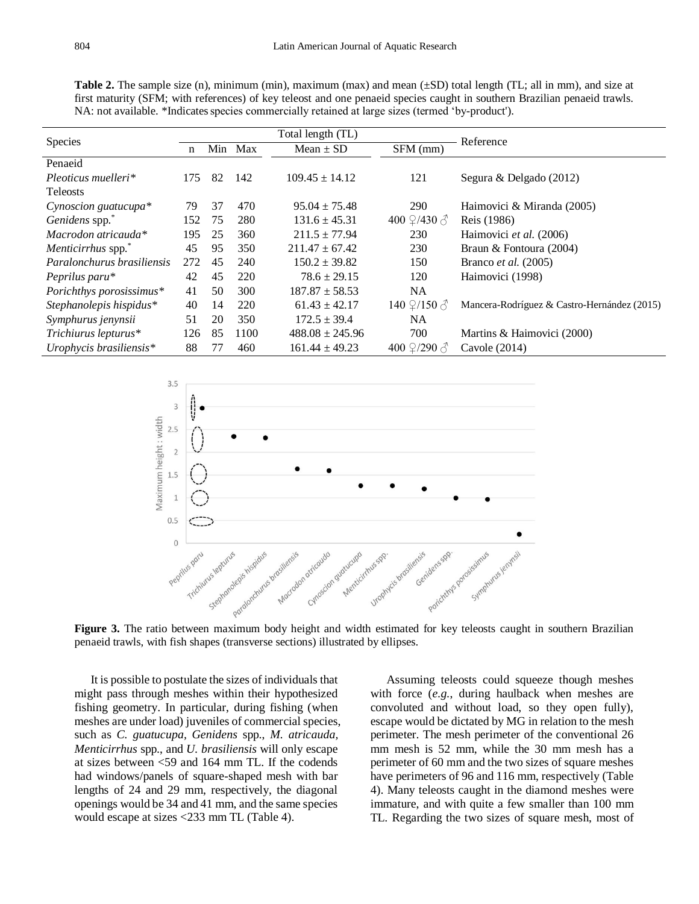**Table 2.** The sample size (n), minimum (min), maximum (max) and mean (±SD) total length (TL; all in mm), and size at first maturity (SFM; with references) of key teleost and one penaeid species caught in southern Brazilian penaeid trawls. NA: not available. \*Indicates species commercially retained at large sizes (termed 'by-product').

| <b>Species</b>                 | Total length (TL) |    |         |                     |                                 | Reference                                   |  |  |
|--------------------------------|-------------------|----|---------|---------------------|---------------------------------|---------------------------------------------|--|--|
|                                | n                 |    | Min Max | Mean $\pm$ SD       | SFM (mm)                        |                                             |  |  |
| Penaeid                        |                   |    |         |                     |                                 |                                             |  |  |
| $Pleoticus muelleri*$          | 175               | 82 | 142     | $109.45 \pm 14.12$  | 121                             | Segura & Delgado (2012)                     |  |  |
| <b>Teleosts</b>                |                   |    |         |                     |                                 |                                             |  |  |
| Cynoscion guatucupa*           | 79                | 37 | 470     | $95.04 \pm 75.48$   | <b>290</b>                      | Haimovici & Miranda (2005)                  |  |  |
| Genidens spp."                 | 152               | 75 | 280     | $131.6 \pm 45.31$   | 400 $\frac{9}{430}$ $\delta$    | Reis (1986)                                 |  |  |
| Macrodon atricauda*            | 195               | 25 | 360     | $211.5 \pm 77.94$   | 230                             | Haimovici et al. (2006)                     |  |  |
| Menticirrhus spp. <sup>*</sup> | 45                | 95 | 350     | $211.47 \pm 67.42$  | 230                             | Braun & Fontoura (2004)                     |  |  |
| Paralonchurus brasiliensis     | 272               | 45 | 240     | $150.2 \pm 39.82$   | 150                             | Branco <i>et al.</i> (2005)                 |  |  |
| Peprilus paru*                 | 42                | 45 | 220     | $78.6 \pm 29.15$    | 120                             | Haimovici (1998)                            |  |  |
| Porichthys porosissimus*       | 41                | 50 | 300     | $187.87 \pm 58.53$  | NA.                             |                                             |  |  |
| Stephanolepis hispidus*        | 40                | 14 | 220     | $61.43 \pm 42.17$   | 140 $\frac{9}{150}$ $\delta$    | Mancera-Rodríguez & Castro-Hernández (2015) |  |  |
| Symphurus jenynsii             | 51                | 20 | 350     | $172.5 \pm 39.4$    | <b>NA</b>                       |                                             |  |  |
| Trichiurus lepturus*           | 126               | 85 | 1100    | $488.08 \pm 245.96$ | 700                             | Martins & Haimovici (2000)                  |  |  |
| Urophycis brasiliensis*        | 88                | 77 | 460     | $161.44 \pm 49.23$  | 400 $\frac{9}{2}$ /290 $\delta$ | Cavole (2014)                               |  |  |



**Figure 3.** The ratio between maximum body height and width estimated for key teleosts caught in southern Brazilian penaeid trawls, with fish shapes (transverse sections) illustrated by ellipses.

It is possible to postulate the sizes of individuals that might pass through meshes within their hypothesized fishing geometry. In particular, during fishing (when meshes are under load) juveniles of commercial species, such as *C. guatucupa, Genidens* spp., *M. atricauda, Menticirrhus* spp., and *U. brasiliensis* will only escape at sizes between <59 and 164 mm TL. If the codends had windows/panels of square-shaped mesh with bar lengths of 24 and 29 mm, respectively, the diagonal openings would be 34 and 41 mm, and the same species would escape at sizes <233 mm TL (Table 4).

Assuming teleosts could squeeze though meshes with force (*e.g.*, during haulback when meshes are convoluted and without load, so they open fully), escape would be dictated by MG in relation to the mesh perimeter. The mesh perimeter of the conventional 26 mm mesh is 52 mm, while the 30 mm mesh has a perimeter of 60 mm and the two sizes of square meshes have perimeters of 96 and 116 mm, respectively (Table 4). Many teleosts caught in the diamond meshes were immature, and with quite a few smaller than 100 mm TL. Regarding the two sizes of square mesh, most of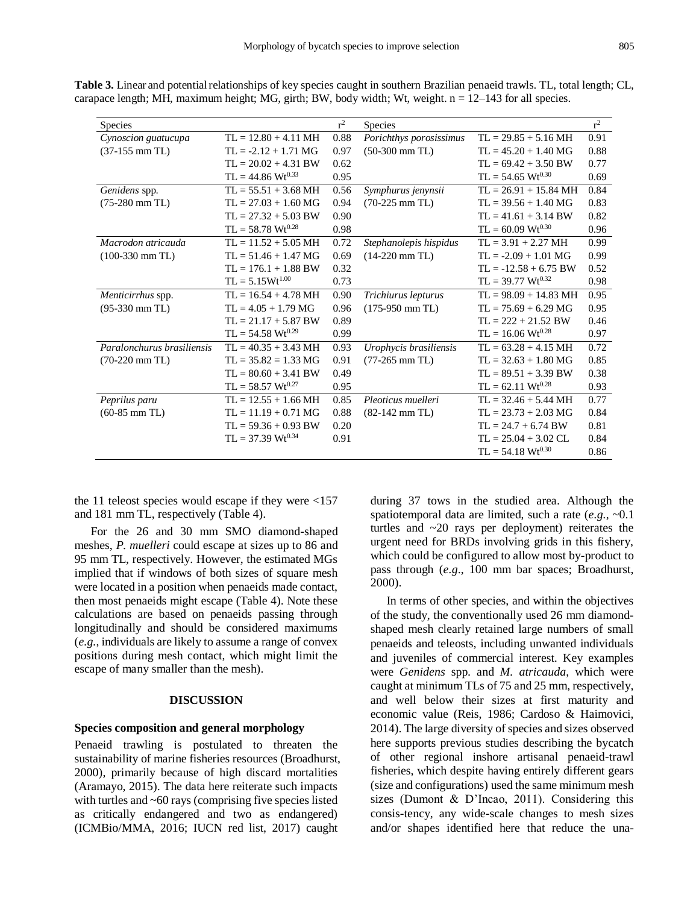| Species                    |                                 | $r^2$ | Species                          |                                  | $r^2$ |
|----------------------------|---------------------------------|-------|----------------------------------|----------------------------------|-------|
| Cynoscion guatucupa        | $TL = 12.80 + 4.11 \text{ MHz}$ | 0.88  | Porichthys porosissimus          | $TL = 29.85 + 5.16 \text{ MH}$   | 0.91  |
| $(37-155$ mm TL)           | $TL = -2.12 + 1.71$ MG          | 0.97  | $(50-300$ mm TL)                 | $TL = 45.20 + 1.40$ MG           | 0.88  |
|                            | $TL = 20.02 + 4.31$ BW          | 0.62  |                                  | $TL = 69.42 + 3.50$ BW           | 0.77  |
|                            | $TL = 44.86 \text{ Wt}^{0.33}$  | 0.95  |                                  | $TL = 54.65 Wt^{0.30}$           | 0.69  |
| Genidens spp.              | $TL = 55.51 + 3.68 \text{ MHz}$ | 0.56  | Symphurus jenynsii               | $TL = 26.91 + 15.84 \text{ MHz}$ | 0.84  |
| $(75-280$ mm TL)           | $TL = 27.03 + 1.60$ MG          | 0.94  | $(70-225$ mm TL)                 | $TL = 39.56 + 1.40 MG$           | 0.83  |
|                            | $TL = 27.32 + 5.03$ BW          | 0.90  |                                  | $TL = 41.61 + 3.14$ BW           | 0.82  |
|                            | $TL = 58.78 \text{ Wt}^{0.28}$  | 0.98  |                                  | $TL = 60.09 \ Wt^{0.30}$         | 0.96  |
| Macrodon atricauda         | $TL = 11.52 + 5.05 \text{ MHz}$ | 0.72  | Stephanolepis hispidus           | $TL = 3.91 + 2.27 \text{ MH}$    | 0.99  |
| $(100-330$ mm TL)          | $TL = 51.46 + 1.47 MG$          | 0.69  | $(14-220$ mm TL)                 | $TL = -2.09 + 1.01 MG$           | 0.99  |
|                            | $TL = 176.1 + 1.88$ BW          | 0.32  |                                  | $TL = -12.58 + 6.75$ BW          | 0.52  |
|                            | $TL = 5.15Wt^{1.00}$            | 0.73  |                                  | $TL = 39.77 \text{ Wt}^{0.32}$   | 0.98  |
| Menticirrhus spp.          | $TL = 16.54 + 4.78 \text{ MHz}$ | 0.90  | Trichiurus lepturus              | $TL = 98.09 + 14.83 \text{ MHz}$ | 0.95  |
| $(95-330$ mm TL)           | $TL = 4.05 + 1.79 MG$           | 0.96  | $(175-950$ mm TL)                | $TL = 75.69 + 6.29 MG$           | 0.95  |
|                            | $TL = 21.17 + 5.87$ BW          | 0.89  |                                  | $TL = 222 + 21.52$ BW            | 0.46  |
|                            | $TL = 54.58 \text{ Wt}^{0.29}$  | 0.99  |                                  | $TL = 16.06 Wt^{0.28}$           | 0.97  |
| Paralonchurus brasiliensis | $TL = 40.35 + 3.43 \text{ MHz}$ | 0.93  | Urophycis brasiliensis           | $TL = 63.28 + 4.15 \text{ MHz}$  | 0.72  |
| $(70-220$ mm TL)           | $TL = 35.82 = 1.33 MG$          | 0.91  | $(77-265$ mm TL)                 | $TL = 32.63 + 1.80$ MG           | 0.85  |
|                            | $TL = 80.60 + 3.41$ BW          | 0.49  |                                  | $TL = 89.51 + 3.39$ BW           | 0.38  |
|                            | $TL = 58.57 \text{ Wt}^{0.27}$  | 0.95  |                                  | $TL = 62.11 Wt^{0.28}$           | 0.93  |
| Peprilus paru              | $TL = 12.55 + 1.66 \text{ MH}$  | 0.85  | Pleoticus muelleri               | $TL = 32.46 + 5.44 \text{ MH}$   | 0.77  |
| $(60-85$ mm TL)            | $TL = 11.19 + 0.71 MG$          | 0.88  | $(82-142 \text{ mm} \text{ TL})$ | $TL = 23.73 + 2.03 MG$           | 0.84  |
|                            | $TL = 59.36 + 0.93$ BW          | 0.20  |                                  | $TL = 24.7 + 6.74$ BW            | 0.81  |
|                            | $TL = 37.39 \text{ Wt}^{0.34}$  | 0.91  |                                  | $TL = 25.04 + 3.02 CL$           | 0.84  |
|                            |                                 |       |                                  | $TL = 54.18 Wt^{0.30}$           | 0.86  |

**Table 3.** Linear and potential relationships of key species caught in southern Brazilian penaeid trawls. TL, total length; CL, carapace length; MH, maximum height; MG, girth; BW, body width; Wt, weight.  $n = 12-143$  for all species.

the 11 teleost species would escape if they were  $\langle 157 \rangle$ and 181 mm TL, respectively (Table 4).

For the 26 and 30 mm SMO diamond-shaped meshes, *P. muelleri* could escape at sizes up to 86 and 95 mm TL, respectively. However, the estimated MGs implied that if windows of both sizes of square mesh were located in a position when penaeids made contact, then most penaeids might escape (Table 4). Note these calculations are based on penaeids passing through longitudinally and should be considered maximums (*e.g.*, individuals are likely to assume a range of convex positions during mesh contact, which might limit the escape of many smaller than the mesh).

# **DISCUSSION**

#### **Species composition and general morphology**

Penaeid trawling is postulated to threaten the sustainability of marine fisheries resources (Broadhurst, 2000), primarily because of high discard mortalities (Aramayo, 2015). The data here reiterate such impacts with turtles and ~60 rays (comprising five species listed as critically endangered and two as endangered) (ICMBio/MMA, 2016; IUCN red list, 2017) caught

during 37 tows in the studied area. Although the spatiotemporal data are limited, such a rate (*e.g.*, ~0.1 turtles and ~20 rays per deployment) reiterates the urgent need for BRDs involving grids in this fishery, which could be configured to allow most by-product to pass through (*e.g*., 100 mm bar spaces; Broadhurst, 2000).

In terms of other species, and within the objectives of the study, the conventionally used 26 mm diamondshaped mesh clearly retained large numbers of small penaeids and teleosts, including unwanted individuals and juveniles of commercial interest. Key examples were *Genidens* spp. and *M. atricauda*, which were caught at minimum TLs of 75 and 25 mm, respectively, and well below their sizes at first maturity and economic value (Reis, 1986; Cardoso & Haimovici, 2014). The large diversity of species and sizes observed here supports previous studies describing the bycatch of other regional inshore artisanal penaeid-trawl fisheries, which despite having entirely different gears (size and configurations) used the same minimum mesh sizes (Dumont & D'Incao, 2011). Considering this consis-tency, any wide-scale changes to mesh sizes and/or shapes identified here that reduce the una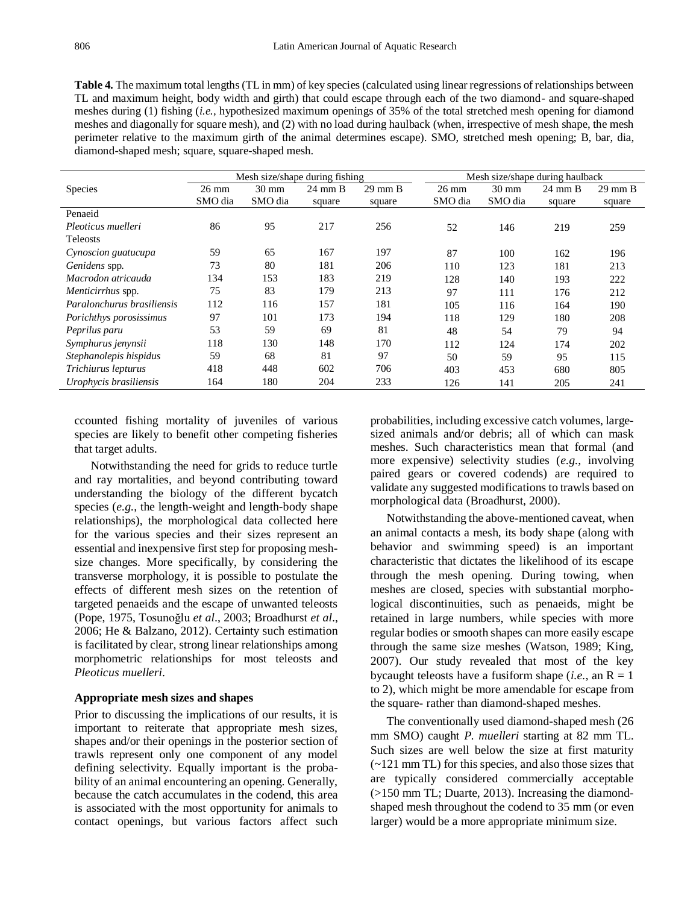**Table 4.** The maximum total lengths (TL in mm) of key species (calculated using linear regressions of relationships between TL and maximum height, body width and girth) that could escape through each of the two diamond- and square-shaped meshes during (1) fishing (*i.e.,* hypothesized maximum openings of 35% of the total stretched mesh opening for diamond meshes and diagonally for square mesh), and (2) with no load during haulback (when, irrespective of mesh shape, the mesh perimeter relative to the maximum girth of the animal determines escape). SMO, stretched mesh opening; B, bar, dia, diamond-shaped mesh; square, square-shaped mesh.

|                            | Mesh size/shape during fishing |                 |                   |                   | Mesh size/shape during haulback |                 |                   |                   |
|----------------------------|--------------------------------|-----------------|-------------------|-------------------|---------------------------------|-----------------|-------------------|-------------------|
| <b>Species</b>             | $26 \text{ mm}$                | $30 \text{ mm}$ | $24 \text{ mm B}$ | $29 \text{ mm B}$ | $26 \text{ mm}$                 | $30 \text{ mm}$ | $24 \text{ mm B}$ | $29 \text{ mm B}$ |
|                            | SMO dia                        | SMO dia         | square            | square            | SMO dia                         | SMO dia         | square            | square            |
| Penaeid                    |                                |                 |                   |                   |                                 |                 |                   |                   |
| Pleoticus muelleri         | 86                             | 95              | 217               | 256               | 52                              | 146             | 219               | 259               |
| <b>Teleosts</b>            |                                |                 |                   |                   |                                 |                 |                   |                   |
| Cynoscion guatucupa        | 59                             | 65              | 167               | 197               | 87                              | 100             | 162               | 196               |
| Genidens spp.              | 73                             | 80              | 181               | 206               | 110                             | 123             | 181               | 213               |
| Macrodon atricauda         | 134                            | 153             | 183               | 219               | 128                             | 140             | 193               | 222               |
| Menticirrhus spp.          | 75                             | 83              | 179               | 213               | 97                              | 111             | 176               | 212               |
| Paralonchurus brasiliensis | 112                            | 116             | 157               | 181               | 105                             | 116             | 164               | 190               |
| Porichthys porosissimus    | 97                             | 101             | 173               | 194               | 118                             | 129             | 180               | 208               |
| Peprilus paru              | 53                             | 59              | 69                | 81                | 48                              | 54              | 79                | 94                |
| Symphurus jenynsii         | 118                            | 130             | 148               | 170               | 112                             | 124             | 174               | 202               |
| Stephanolepis hispidus     | 59                             | 68              | 81                | 97                | 50                              | 59              | 95                | 115               |
| Trichiurus lepturus        | 418                            | 448             | 602               | 706               | 403                             | 453             | 680               | 805               |
| Urophycis brasiliensis     | 164                            | 180             | 204               | 233               | 126                             | 141             | 205               | 241               |

ccounted fishing mortality of juveniles of various species are likely to benefit other competing fisheries that target adults.

Notwithstanding the need for grids to reduce turtle and ray mortalities, and beyond contributing toward understanding the biology of the different bycatch species (*e.g.*, the length-weight and length-body shape relationships), the morphological data collected here for the various species and their sizes represent an essential and inexpensive first step for proposing meshsize changes. More specifically, by considering the transverse morphology, it is possible to postulate the effects of different mesh sizes on the retention of targeted penaeids and the escape of unwanted teleosts (Pope, 1975, Tosunoğlu *et al*., 2003; Broadhurst *et al*., 2006; He & Balzano, 2012). Certainty such estimation is facilitated by clear, strong linear relationships among morphometric relationships for most teleosts and *Pleoticus muelleri*.

# **Appropriate mesh sizes and shapes**

Prior to discussing the implications of our results, it is important to reiterate that appropriate mesh sizes, shapes and/or their openings in the posterior section of trawls represent only one component of any model defining selectivity. Equally important is the probability of an animal encountering an opening. Generally, because the catch accumulates in the codend, this area is associated with the most opportunity for animals to contact openings, but various factors affect such probabilities, including excessive catch volumes, largesized animals and/or debris; all of which can mask meshes. Such characteristics mean that formal (and more expensive) selectivity studies (*e.g.*, involving paired gears or covered codends) are required to validate any suggested modifications to trawls based on morphological data (Broadhurst, 2000).

Notwithstanding the above-mentioned caveat, when an animal contacts a mesh, its body shape (along with behavior and swimming speed) is an important characteristic that dictates the likelihood of its escape through the mesh opening. During towing, when meshes are closed, species with substantial morphological discontinuities, such as penaeids, might be retained in large numbers, while species with more regular bodies or smooth shapes can more easily escape through the same size meshes (Watson, 1989; King, 2007). Our study revealed that most of the key bycaught teleosts have a fusiform shape (*i.e.*, an  $R = 1$ ) to 2), which might be more amendable for escape from the square- rather than diamond-shaped meshes.

The conventionally used diamond-shaped mesh (26 mm SMO) caught *P. muelleri* starting at 82 mm TL. Such sizes are well below the size at first maturity (~121 mm TL) for this species, and also those sizes that are typically considered commercially acceptable (>150 mm TL; Duarte, 2013). Increasing the diamondshaped mesh throughout the codend to 35 mm (or even larger) would be a more appropriate minimum size.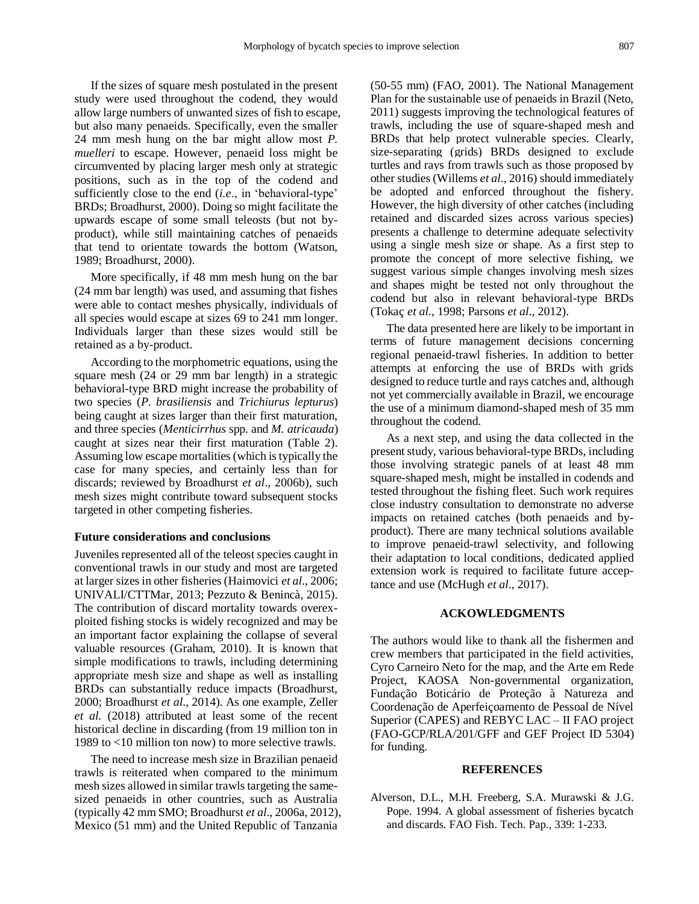If the sizes of square mesh postulated in the present study were used throughout the codend, they would allow large numbers of unwanted sizes of fish to escape, but also many penaeids. Specifically, even the smaller 24 mm mesh hung on the bar might allow most *P. muelleri* to escape. However, penaeid loss might be circumvented by placing larger mesh only at strategic positions, such as in the top of the codend and sufficiently close to the end (*i.e*., in 'behavioral-type' BRDs; Broadhurst, 2000). Doing so might facilitate the upwards escape of some small teleosts (but not byproduct), while still maintaining catches of penaeids that tend to orientate towards the bottom (Watson, 1989; Broadhurst, 2000).

More specifically, if 48 mm mesh hung on the bar (24 mm bar length) was used, and assuming that fishes were able to contact meshes physically, individuals of all species would escape at sizes 69 to 241 mm longer. Individuals larger than these sizes would still be retained as a by-product.

According to the morphometric equations, using the square mesh (24 or 29 mm bar length) in a strategic behavioral-type BRD might increase the probability of two species (*P. brasiliensis* and *Trichiurus lepturus*) being caught at sizes larger than their first maturation, and three species (*Menticirrhus* spp. and *M. atricauda*) caught at sizes near their first maturation (Table 2). Assuming low escape mortalities (which is typically the case for many species, and certainly less than for discards; reviewed by Broadhurst *et al*., 2006b), such mesh sizes might contribute toward subsequent stocks targeted in other competing fisheries.

#### **Future considerations and conclusions**

Juveniles represented all of the teleost species caught in conventional trawls in our study and most are targeted at larger sizes in other fisheries (Haimovici *et al*., 2006; UNIVALI/CTTMar, 2013; Pezzuto & Benincà, 2015). The contribution of discard mortality towards overexploited fishing stocks is widely recognized and may be an important factor explaining the collapse of several valuable resources (Graham, 2010). It is known that simple modifications to trawls, including determining appropriate mesh size and shape as well as installing BRDs can substantially reduce impacts (Broadhurst, 2000; Broadhurst *et al*., 2014). As one example, Zeller *et al.* (2018) attributed at least some of the recent historical decline in discarding (from 19 million ton in 1989 to <10 million ton now) to more selective trawls.

The need to increase mesh size in Brazilian penaeid trawls is reiterated when compared to the minimum mesh sizes allowed in similar trawls targeting the samesized penaeids in other countries, such as Australia (typically 42 mm SMO; Broadhurst *et al*., 2006a, 2012), Mexico (51 mm) and the United Republic of Tanzania

(50-55 mm) (FAO, 2001). The National Management Plan for the sustainable use of penaeids in Brazil (Neto, 2011) suggests improving the technological features of trawls, including the use of square-shaped mesh and BRDs that help protect vulnerable species. Clearly, size-separating (grids) BRDs designed to exclude turtles and rays from trawls such as those proposed by other studies (Willems *et al*., 2016) should immediately be adopted and enforced throughout the fishery. However, the high diversity of other catches (including retained and discarded sizes across various species) presents a challenge to determine adequate selectivity using a single mesh size or shape. As a first step to promote the concept of more selective fishing, we suggest various simple changes involving mesh sizes and shapes might be tested not only throughout the codend but also in relevant behavioral-type BRDs (Tokaç *et al.*, 1998; Parsons *et al*., 2012).

The data presented here are likely to be important in terms of future management decisions concerning regional penaeid-trawl fisheries. In addition to better attempts at enforcing the use of BRDs with grids designed to reduce turtle and rays catches and, although not yet commercially available in Brazil, we encourage the use of a minimum diamond-shaped mesh of 35 mm throughout the codend.

As a next step, and using the data collected in the present study, various behavioral-type BRDs, including those involving strategic panels of at least 48 mm square-shaped mesh, might be installed in codends and tested throughout the fishing fleet. Such work requires close industry consultation to demonstrate no adverse impacts on retained catches (both penaeids and byproduct). There are many technical solutions available to improve penaeid-trawl selectivity, and following their adaptation to local conditions, dedicated applied extension work is required to facilitate future acceptance and use (McHugh *et al*., 2017).

# **ACKOWLEDGMENTS**

The authors would like to thank all the fishermen and crew members that participated in the field activities, Cyro Carneiro Neto for the map, and the Arte em Rede Project, KAOSA Non-governmental organization, Fundação Boticário de Proteção à Natureza and Coordenação de Aperfeiçoamento de Pessoal de Nível Superior (CAPES) and REBYC LAC – II FAO project (FAO-GCP/RLA/201/GFF and GEF Project ID 5304) for funding.

# **REFERENCES**

Alverson, D.L., M.H. Freeberg, S.A. Murawski & J.G. Pope. 1994. A global assessment of fisheries bycatch and discards. FAO Fish. Tech. Pap., 339: 1-233.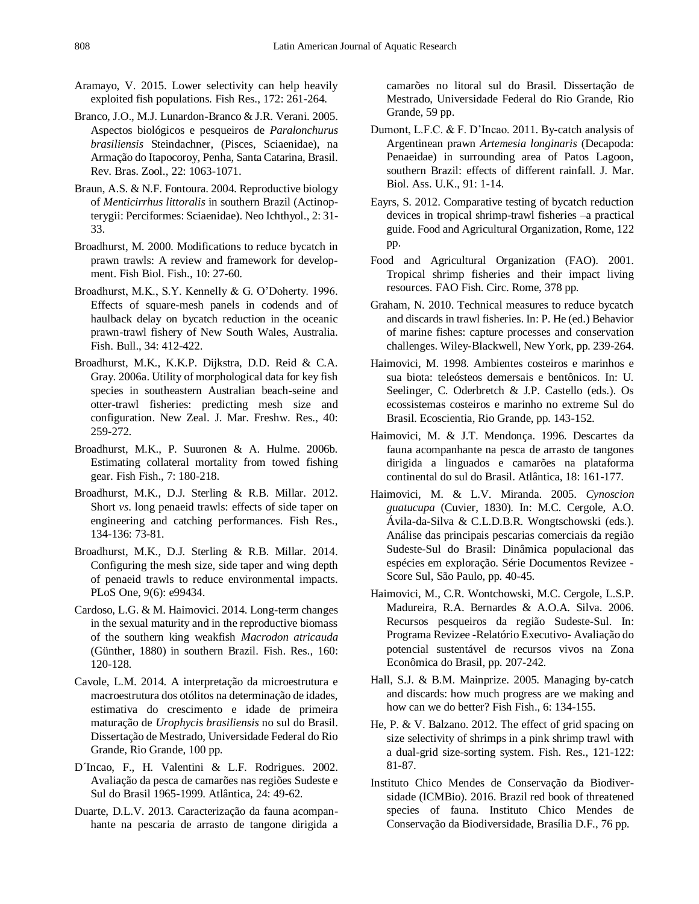- Aramayo, V. 2015. Lower selectivity can help heavily exploited fish populations. Fish Res., 172: 261-264.
- Branco, J.O., M.J. Lunardon-Branco & J.R. Verani. 2005. Aspectos biológicos e pesqueiros de *Paralonchurus brasiliensis* Steindachner, (Pisces, Sciaenidae), na Armação do Itapocoroy, Penha, Santa Catarina, Brasil. Rev. Bras. Zool., 22: 1063-1071.
- Braun, A.S. & N.F. Fontoura. 2004. Reproductive biology of *Menticirrhus littoralis* in southern Brazil (Actinopterygii: Perciformes: Sciaenidae). Neo Ichthyol., 2: 31- 33.
- Broadhurst, M. 2000. Modifications to reduce bycatch in prawn trawls: A review and framework for development. Fish Biol. Fish., 10: 27-60.
- Broadhurst, M.K., S.Y. Kennelly & G. O'Doherty. 1996. Effects of square-mesh panels in codends and of haulback delay on bycatch reduction in the oceanic prawn-trawl fishery of New South Wales, Australia. Fish. Bull., 34: 412-422.
- Broadhurst, M.K., K.K.P. Dijkstra, D.D. Reid & C.A. Gray. 2006a. Utility of morphological data for key fish species in southeastern Australian beach-seine and otter-trawl fisheries: predicting mesh size and configuration. New Zeal. J. Mar. Freshw. Res., 40: 259-272.
- Broadhurst, M.K., P. Suuronen & A. Hulme. 2006b. Estimating collateral mortality from towed fishing gear. Fish Fish., 7: 180-218.
- Broadhurst, M.K., D.J. Sterling & R.B. Millar. 2012. Short *vs*. long penaeid trawls: effects of side taper on engineering and catching performances. Fish Res., 134-136: 73-81.
- Broadhurst, M.K., D.J. Sterling & R.B. Millar. 2014. Configuring the mesh size, side taper and wing depth of penaeid trawls to reduce environmental impacts. PLoS One, 9(6): e99434.
- Cardoso, L.G. & M. Haimovici. 2014. Long-term changes in the sexual maturity and in the reproductive biomass of the southern king weakfish *Macrodon atricauda* (Günther, 1880) in southern Brazil. Fish. Res., 160: 120-128.
- Cavole, L.M. 2014. A interpretação da microestrutura e macroestrutura dos otólitos na determinação de idades, estimativa do crescimento e idade de primeira maturação de *Urophycis brasiliensis* no sul do Brasil. Dissertação de Mestrado, Universidade Federal do Rio Grande, Rio Grande, 100 pp.
- D´Incao, F., H. Valentini & L.F. Rodrigues. 2002. Avaliação da pesca de camarões nas regiões Sudeste e Sul do Brasil 1965-1999. Atlântica, 24: 49-62.
- Duarte, D.L.V. 2013. Caracterização da fauna acompanhante na pescaria de arrasto de tangone dirigida a

camarões no litoral sul do Brasil. Dissertação de Mestrado, Universidade Federal do Rio Grande, Rio Grande, 59 pp.

- Dumont, L.F.C. & F. D'Incao. 2011. By-catch analysis of Argentinean prawn *Artemesia longinaris* (Decapoda: Penaeidae) in surrounding area of Patos Lagoon, southern Brazil: effects of different rainfall. J. Mar. Biol. Ass. U.K., 91: 1-14.
- Eayrs, S. 2012. Comparative testing of bycatch reduction devices in tropical shrimp-trawl fisheries  $-a$  practical guide. Food and Agricultural Organization, Rome, 122 pp.
- Food and Agricultural Organization (FAO). 2001. Tropical shrimp fisheries and their impact living resources. FAO Fish. Circ. Rome, 378 pp.
- Graham, N. 2010. Technical measures to reduce bycatch and discards in trawl fisheries. In: P. He (ed.) Behavior of marine fishes: capture processes and conservation challenges. Wiley-Blackwell, New York, pp. 239-264.
- Haimovici, M. 1998. Ambientes costeiros e marinhos e sua biota: teleósteos demersais e bentônicos. In: U. Seelinger, C. Oderbretch & J.P. Castello (eds.). Os ecossistemas costeiros e marinho no extreme Sul do Brasil. Ecoscientia, Rio Grande, pp. 143-152.
- Haimovici, M. & J.T. Mendonça. 1996. Descartes da fauna acompanhante na pesca de arrasto de tangones dirigida a linguados e camarões na plataforma continental do sul do Brasil. Atlântica, 18: 161-177.
- Haimovici, M. & L.V. Miranda. 2005. *Cynoscion guatucupa* (Cuvier, 1830). In: M.C. Cergole, A.O. Ávila-da-Silva & C.L.D.B.R. Wongtschowski (eds.). Análise das principais pescarias comerciais da região Sudeste-Sul do Brasil: Dinâmica populacional das espécies em exploração. Série Documentos Revizee - Score Sul, São Paulo, pp. 40-45.
- Haimovici, M., C.R. Wontchowski, M.C. Cergole, L.S.P. Madureira, R.A. Bernardes & A.O.A. Silva. 2006. Recursos pesqueiros da região Sudeste-Sul. In: Programa Revizee -Relatório Executivo- Avaliação do potencial sustentável de recursos vivos na Zona Econômica do Brasil, pp. 207-242.
- Hall, S.J. & B.M. Mainprize. 2005. Managing by-catch and discards: how much progress are we making and how can we do better? Fish Fish., 6: 134-155.
- He, P. & V. Balzano. 2012. The effect of grid spacing on size selectivity of shrimps in a pink shrimp trawl with a dual-grid size-sorting system. Fish. Res., 121-122: 81-87.
- Instituto Chico Mendes de Conservação da Biodiversidade (ICMBio). 2016. Brazil red book of threatened species of fauna. Instituto Chico Mendes de Conservação da Biodiversidade, Brasília D.F., 76 pp.